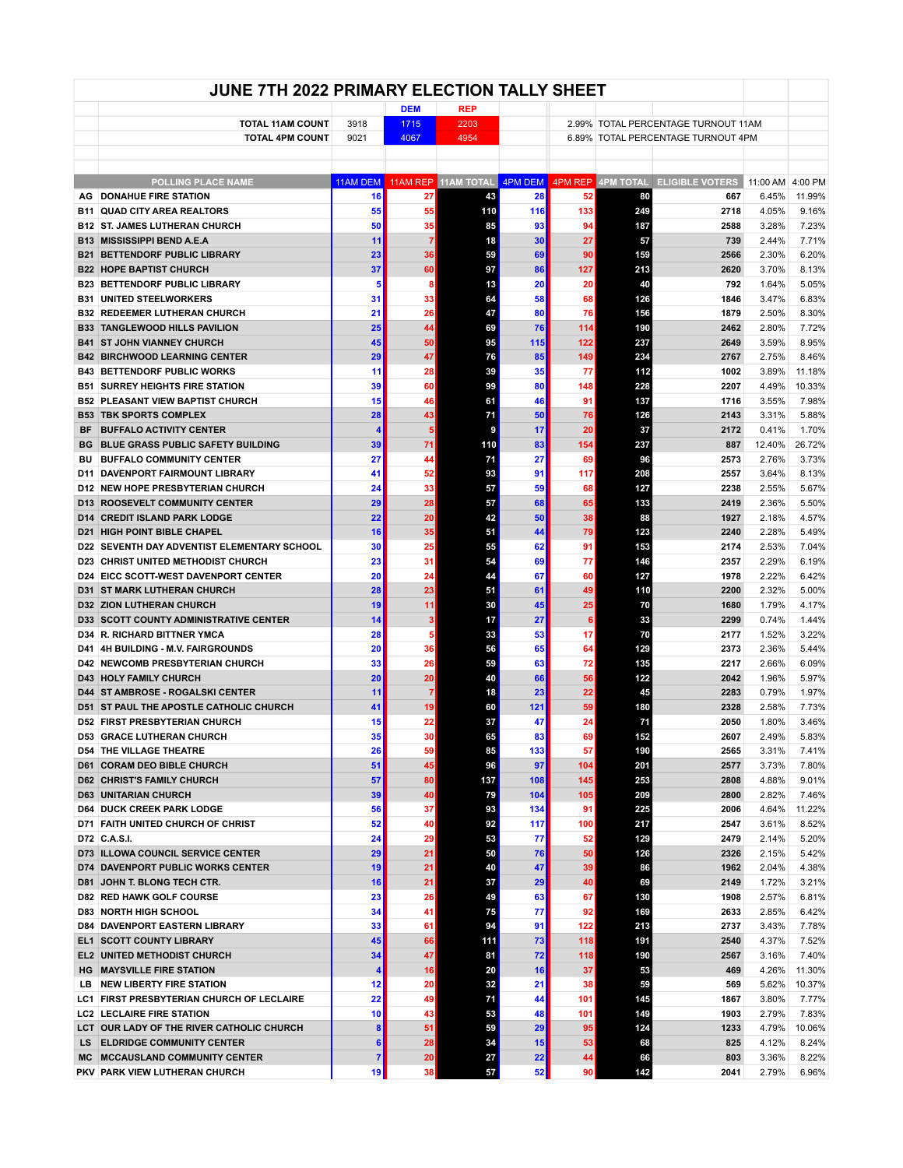|     | JUNE 7TH 2022 PRIMARY ELECTION TALLY SHEET                                 |          |                    |                    |           |           |            |                                                               |                  |                 |
|-----|----------------------------------------------------------------------------|----------|--------------------|--------------------|-----------|-----------|------------|---------------------------------------------------------------|------------------|-----------------|
|     | <b>TOTAL 11AM COUNT</b>                                                    | 3918     | <b>DEM</b><br>1715 | <b>REP</b><br>2203 |           |           |            | 2.99% TOTAL PERCENTAGE TURNOUT 11AM                           |                  |                 |
|     | <b>TOTAL 4PM COUNT</b>                                                     | 9021     | 4067               | 4954               |           |           |            | 6.89% TOTAL PERCENTAGE TURNOUT 4PM                            |                  |                 |
|     |                                                                            |          |                    |                    |           |           |            |                                                               |                  |                 |
|     | <b>POLLING PLACE NAME</b>                                                  | 11AM DEM |                    |                    |           |           |            | 11AM REP 11AM TOTAL 4PM DEM 4PM REP 4PM TOTAL ELIGIBLE VOTERS | 11:00 AM 4:00 PM |                 |
| AG  | <b>DONAHUE FIRE STATION</b>                                                | 16       | 27                 | 43                 | 28        | 52        | 80         | 667                                                           | 6.45%            | 11.99%          |
|     | <b>B11 QUAD CITY AREA REALTORS</b>                                         | 55       | 55                 | 110                | 116       | 133       | 249        | 2718                                                          | 4.05%            | 9.16%           |
|     | <b>B12 ST. JAMES LUTHERAN CHURCH</b>                                       | 50       | 35 <sup>5</sup>    | 85                 | 93        | 94        | 187        | 2588                                                          | 3.28%            | 7.23%           |
| B13 | <b>MISSISSIPPI BEND A.E.A</b>                                              | 11       | 71                 | 18                 | 30        | 27        | 57         | 739                                                           | 2.44%            | 7.71%           |
|     | <b>B21 BETTENDORF PUBLIC LIBRARY</b>                                       | 23       | 36                 | 59                 | 69        | 90        | 159        | 2566                                                          | 2.30%            | 6.20%           |
|     | <b>B22 HOPE BAPTIST CHURCH</b>                                             | 37       | 60                 | 97                 | 86        | 127       | 213        | 2620                                                          | 3.70%            | 8.13%           |
|     | <b>B23 BETTENDORF PUBLIC LIBRARY</b>                                       | 5        | 8 <sup>1</sup>     | 13                 | 20        | 20        | 40         | 792                                                           | 1.64%            | 5.05%           |
|     | <b>B31 UNITED STEELWORKERS</b>                                             | 31       | 33                 | 64                 | 58        | 68        | 126        | 1846                                                          | 3.47%            | 6.83%           |
|     | <b>B32 REDEEMER LUTHERAN CHURCH</b>                                        | 21       | 26                 | 47                 | 80        | 76        | 156        | 1879                                                          | 2.50%            | 8.30%           |
|     | <b>B33 TANGLEWOOD HILLS PAVILION</b>                                       | 25       | 44                 | 69                 | 76        | 114       | 190        | 2462                                                          | 2.80%            | 7.72%           |
|     | <b>B41 ST JOHN VIANNEY CHURCH</b>                                          | 45<br>29 | 50<br>47           | 95                 | 115<br>85 | 122       | 237<br>234 | 2649                                                          | 3.59%            | 8.95%           |
|     | <b>B42 BIRCHWOOD LEARNING CENTER</b><br><b>B43 BETTENDORF PUBLIC WORKS</b> | 11       | 28                 | 76<br>39           | 35        | 149<br>77 | 112        | 2767<br>1002                                                  | 2.75%<br>3.89%   | 8.46%<br>11.18% |
|     | <b>B51 SURREY HEIGHTS FIRE STATION</b>                                     | 39       | 60                 | 99                 | 80        | 148       | 228        | 2207                                                          | 4.49%            | 10.33%          |
|     | <b>B52 PLEASANT VIEW BAPTIST CHURCH</b>                                    | 15       | 46                 | 61                 | 46        | 91        | 137        | 1716                                                          | 3.55%            | 7.98%           |
|     | <b>B53 TBK SPORTS COMPLEX</b>                                              | 28       | 43                 | 71                 | 50        | 76        | 126        | 2143                                                          | 3.31%            | 5.88%           |
| BF  | <b>BUFFALO ACTIVITY CENTER</b>                                             | 4        | 5 <sup>1</sup>     | 9                  | 17        | 20        | 37         | 2172                                                          | 0.41%            | 1.70%           |
|     | <b>BG BLUE GRASS PUBLIC SAFETY BUILDING</b>                                | 39       | 71                 | 110                | 83        | 154       | 237        | 887                                                           | 12.40%           | 26.72%          |
| BU  | <b>BUFFALO COMMUNITY CENTER</b>                                            | 27       | 44                 | 71                 | 27        | 69        | 96         | 2573                                                          | 2.76%            | 3.73%           |
|     | <b>D11 DAVENPORT FAIRMOUNT LIBRARY</b>                                     | 41       | 52                 | 93                 | 91        | 117       | 208        | 2557                                                          | 3.64%            | 8.13%           |
|     | <b>D12 NEW HOPE PRESBYTERIAN CHURCH</b>                                    | 24       | 33                 | 57                 | 59        | 68        | 127        | 2238                                                          | 2.55%            | 5.67%           |
|     | <b>D13 ROOSEVELT COMMUNITY CENTER</b>                                      | 29       | 28                 | 57                 | 68        | 65        | 133        | 2419                                                          | 2.36%            | 5.50%           |
|     | <b>D14 CREDIT ISLAND PARK LODGE</b>                                        | 22       | 20                 | 42                 | 50        | 38        | 88         | 1927                                                          | 2.18%            | 4.57%           |
|     | <b>D21 HIGH POINT BIBLE CHAPEL</b>                                         | 16       | 35                 | 51                 | 44        | 79        | 123        | 2240                                                          | 2.28%            | 5.49%           |
|     | D22 SEVENTH DAY ADVENTIST ELEMENTARY SCHOOL                                | 30       | 25                 | 55                 | 62        | 91        | 153        | 2174                                                          | 2.53%            | 7.04%           |
|     | <b>D23 CHRIST UNITED METHODIST CHURCH</b>                                  | 23       | 31                 | 54                 | 69        | 77        | 146        | 2357                                                          | 2.29%            | 6.19%           |
|     | <b>D24 EICC SCOTT WEST DAVENPORT CENTER</b>                                | 20       | 24                 | 44                 | 67        | 60        | 127        | 1978                                                          | 2.22%            | 6.42%           |
|     | <b>D31 ST MARK LUTHERAN CHURCH</b>                                         | 28       | 23                 | 51                 | 61        | 49        | 110        | 2200                                                          | 2.32%            | 5.00%           |
|     | <b>D32 ZION LUTHERAN CHURCH</b>                                            | 19       | 11                 | 30                 | 45        | 25        | 70         | 1680                                                          | 1.79%            | 4.17%           |
|     | <b>D33 SCOTT COUNTY ADMINISTRATIVE CENTER</b>                              | 14       | 3 <sup>1</sup>     | 17                 | 27        | 6         | 33         | 2299                                                          | 0.74%            | 1.44%           |
|     | <b>D34 R. RICHARD BITTNER YMCA</b>                                         | 28       | 5                  | 33                 | 53        | 17        | 70         | 2177                                                          | 1.52%            | 3.22%           |
|     | <b>D41 4H BUILDING - M.V. FAIRGROUNDS</b>                                  | 20       | 36                 | 56                 | 65        | 64        | 129        | 2373                                                          | 2.36%            | 5.44%           |
|     | <b>D42 NEWCOMB PRESBYTERIAN CHURCH</b>                                     | 33       | 26                 | 59                 | 63        | 72        | 135        | 2217                                                          | 2.66%            | 6.09%           |
|     | <b>D43 HOLY FAMILY CHURCH</b><br><b>D44 ST AMBROSE - ROGALSKI CENTER</b>   | 20<br>11 | 20<br>7            | 40<br>18           | 66<br>23  | 56<br>22  | 122<br>45  | 2042<br>2283                                                  | 1.96%<br>0.79%   | 5.97%<br>1.97%  |
|     | <b>D51 ST PAUL THE APOSTLE CATHOLIC CHURCH</b>                             | 41       | 19                 | 60                 | 121       | 59        | 180        | 2328                                                          | 2.58%            | 7.73%           |
|     | <b>D52 FIRST PRESBYTERIAN CHURCH</b>                                       | 15       | 22                 | 37                 | 47        | 24        | 71         | 2050                                                          | 1.80%            | 3.46%           |
|     | <b>D53 GRACE LUTHERAN CHURCH</b>                                           | 35       | 30                 | 65                 | 83        | 69        | 152        | 2607                                                          | 2.49%            | 5.83%           |
|     | <b>D54 THE VILLAGE THEATRE</b>                                             | 26       | 59                 | 85                 | 133       | 57        | 190        | 2565                                                          | 3.31%            | 7.41%           |
|     | <b>D61 CORAM DEO BIBLE CHURCH</b>                                          | 51       | 45                 | 96                 | 97        | 104       | 201        | 2577                                                          | 3.73%            | 7.80%           |
|     | <b>D62 CHRIST'S FAMILY CHURCH</b>                                          | 57       | 80                 | 137                | 108       | 145       | 253        | 2808                                                          | 4.88%            | 9.01%           |
|     | <b>D63 UNITARIAN CHURCH</b>                                                | 39       | 40                 | 79                 | 104       | 105       | 209        | 2800                                                          | 2.82%            | 7.46%           |
|     | <b>D64 DUCK CREEK PARK LODGE</b>                                           | 56       | 37 <sup>1</sup>    | 93                 | 134       | 91        | 225        | 2006                                                          | 4.64%            | 11.22%          |
|     | <b>D71 FAITH UNITED CHURCH OF CHRIST</b>                                   | 52       | 40                 | 92                 | 117       | 100       | 217        | 2547                                                          | 3.61%            | 8.52%           |
|     | D72 C.A.S.I.                                                               | 24       | 29                 | 53                 | 77        | 52        | 129        | 2479                                                          | 2.14%            | 5.20%           |
|     | <b>D73 ILLOWA COUNCIL SERVICE CENTER</b>                                   | 29       | 21                 | 50                 | 76        | 50        | 126        | 2326                                                          | 2.15%            | 5.42%           |
|     | <b>D74 DAVENPORT PUBLIC WORKS CENTER</b>                                   | 19       | 21                 | 40                 | 47        | 39        | 86         | 1962                                                          | 2.04%            | 4.38%           |
|     | <b>D81 JOHN T. BLONG TECH CTR.</b>                                         | 16       | 21                 | 37                 | 29        | 40        | 69         | 2149                                                          | 1.72%            | 3.21%           |
|     | <b>D82 RED HAWK GOLF COURSE</b>                                            | 23       | 26                 | 49                 | 63        | 67        | 130        | 1908                                                          | 2.57%            | 6.81%           |
|     | <b>D83 NORTH HIGH SCHOOL</b>                                               | 34       | 41                 | 75                 | 77        | 92        | 169        | 2633                                                          | 2.85%            | 6.42%           |
|     | <b>D84 DAVENPORT EASTERN LIBRARY</b>                                       | 33       | 61                 | 94                 | 91        | 122       | 213        | 2737                                                          | 3.43%            | 7.78%           |
|     | <b>EL1 SCOTT COUNTY LIBRARY</b>                                            | 45       | 66                 | 111                | 73        | 118       | 191        | 2540                                                          | 4.37%            | 7.52%           |
|     | <b>EL2 UNITED METHODIST CHURCH</b>                                         | 34       | 47                 | 81                 | 72        | 118       | 190        | 2567                                                          | 3.16%            | 7.40%           |
|     | <b>HG</b> MAYSVILLE FIRE STATION                                           | 4        | 16                 | 20                 | 16        | 37        | 53         | 469                                                           | 4.26%            | 11.30%          |
|     | LB NEW LIBERTY FIRE STATION                                                | 12       | 20                 | 32                 | 21        | 38        | 59         | 569                                                           | 5.62%            | 10.37%          |
|     | LC1 FIRST PRESBYTERIAN CHURCH OF LECLAIRE                                  | 22       | 49                 | 71                 | 44        | 101       | 145        | 1867                                                          | 3.80%            | 7.77%           |
|     | <b>LC2 LECLAIRE FIRE STATION</b>                                           | 10       | 43                 | 53                 | 48        | 101       | 149        | 1903                                                          | 2.79%            | 7.83%           |
|     | LCT OUR LADY OF THE RIVER CATHOLIC CHURCH                                  | 8        | 51                 | 59                 | 29        | 95        | 124        | 1233                                                          | 4.79%            | 10.06%          |
|     | LS ELDRIDGE COMMUNITY CENTER<br>MC MCCAUSLAND COMMUNITY CENTER             | 6<br>7   | 28<br>20           | 34<br>27           | 15<br>22  | 53<br>44  | 68<br>66   | 825<br>803                                                    | 4.12%<br>3.36%   | 8.24%<br>8.22%  |
|     | PKV PARK VIEW LUTHERAN CHURCH                                              | 19       | 38                 | 57                 | 52        | 90        | 142        | 2041                                                          | 2.79%            | 6.96%           |
|     |                                                                            |          |                    |                    |           |           |            |                                                               |                  |                 |